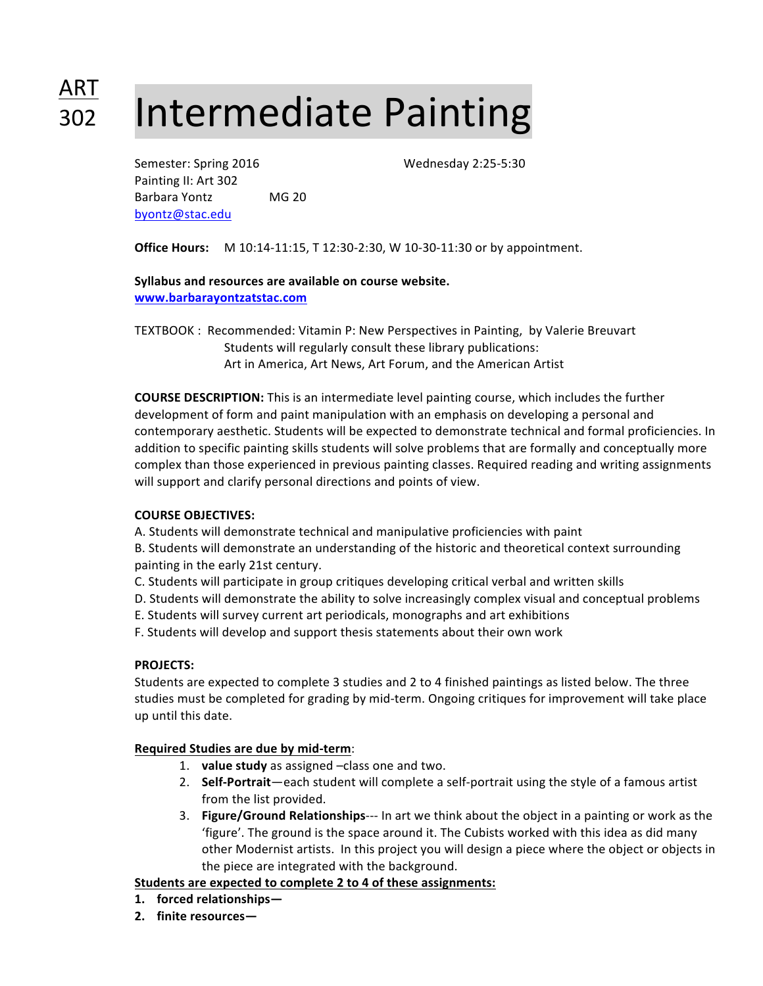# Intermediate Painting ART 302

Semester: Spring 2016 Wednesday 2:25-5:30 Painting II: Art 302 Barbara Yontz MG 20 byontz@stac.edu

**Office Hours:** M 10:14-11:15, T 12:30-2:30, W 10-30-11:30 or by appointment.

### Syllabus and resources are available on course website. **www.barbarayontzatstac.com**

TEXTBOOK : Recommended: Vitamin P: New Perspectives in Painting, by Valerie Breuvart Students will regularly consult these library publications: Art in America, Art News, Art Forum, and the American Artist

**COURSE DESCRIPTION:** This is an intermediate level painting course, which includes the further development of form and paint manipulation with an emphasis on developing a personal and contemporary aesthetic. Students will be expected to demonstrate technical and formal proficiencies. In addition to specific painting skills students will solve problems that are formally and conceptually more complex than those experienced in previous painting classes. Required reading and writing assignments will support and clarify personal directions and points of view.

#### **COURSE OBJECTIVES:**

A. Students will demonstrate technical and manipulative proficiencies with paint

B. Students will demonstrate an understanding of the historic and theoretical context surrounding painting in the early 21st century.

- C. Students will participate in group critiques developing critical verbal and written skills
- D. Students will demonstrate the ability to solve increasingly complex visual and conceptual problems
- E. Students will survey current art periodicals, monographs and art exhibitions
- F. Students will develop and support thesis statements about their own work

#### **PROJECTS:**

Students are expected to complete 3 studies and 2 to 4 finished paintings as listed below. The three studies must be completed for grading by mid-term. Ongoing critiques for improvement will take place up until this date.

#### **Required Studies are due by mid-term**:

- 1. **value study** as assigned -class one and two.
- 2. Self-Portrait—each student will complete a self-portrait using the style of a famous artist from the list provided.
- 3. **Figure/Ground Relationships---** In art we think about the object in a painting or work as the 'figure'. The ground is the space around it. The Cubists worked with this idea as did many other Modernist artists. In this project you will design a piece where the object or objects in the piece are integrated with the background.

# **Students are expected to complete 2 to 4 of these assignments:**

- **1. forced relationships—**
- **2.** finite resources-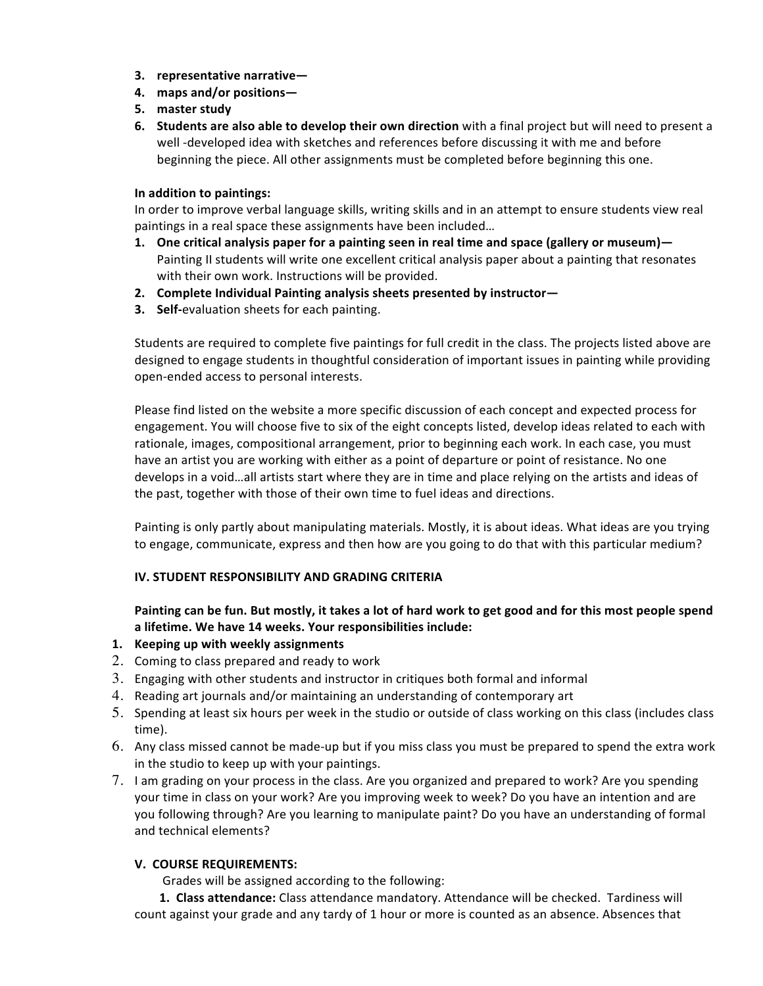- **3.** representative narrative-
- **4. maps and/or positions—**
- **5. master study**
- **6. Students are also able to develop their own direction** with a final project but will need to present a well -developed idea with sketches and references before discussing it with me and before beginning the piece. All other assignments must be completed before beginning this one.

#### **In addition to paintings:**

In order to improve verbal language skills, writing skills and in an attempt to ensure students view real paintings in a real space these assignments have been included...

- **1.** One critical analysis paper for a painting seen in real time and space (gallery or museum)— Painting II students will write one excellent critical analysis paper about a painting that resonates with their own work. Instructions will be provided.
- **2.** Complete Individual Painting analysis sheets presented by instructor-
- **3.** Self-evaluation sheets for each painting.

Students are required to complete five paintings for full credit in the class. The projects listed above are designed to engage students in thoughtful consideration of important issues in painting while providing open-ended access to personal interests.

Please find listed on the website a more specific discussion of each concept and expected process for engagement. You will choose five to six of the eight concepts listed, develop ideas related to each with rationale, images, compositional arrangement, prior to beginning each work. In each case, you must have an artist you are working with either as a point of departure or point of resistance. No one develops in a void...all artists start where they are in time and place relying on the artists and ideas of the past, together with those of their own time to fuel ideas and directions.

Painting is only partly about manipulating materials. Mostly, it is about ideas. What ideas are you trying to engage, communicate, express and then how are you going to do that with this particular medium?

#### **IV. STUDENT RESPONSIBILITY AND GRADING CRITERIA**

## Painting can be fun. But mostly, it takes a lot of hard work to get good and for this most people spend a lifetime. We have 14 weeks. Your responsibilities include:

- 1. **Keeping up with weekly assignments**
- 2. Coming to class prepared and ready to work
- 3. Engaging with other students and instructor in critiques both formal and informal
- 4. Reading art journals and/or maintaining an understanding of contemporary art
- 5. Spending at least six hours per week in the studio or outside of class working on this class (includes class time).
- 6. Any class missed cannot be made-up but if you miss class you must be prepared to spend the extra work in the studio to keep up with your paintings.
- 7. I am grading on your process in the class. Are you organized and prepared to work? Are you spending your time in class on your work? Are you improving week to week? Do you have an intention and are you following through? Are you learning to manipulate paint? Do you have an understanding of formal and technical elements?

#### **V. COURSE REQUIREMENTS:**

Grades will be assigned according to the following:

1. Class attendance: Class attendance mandatory. Attendance will be checked. Tardiness will count against your grade and any tardy of 1 hour or more is counted as an absence. Absences that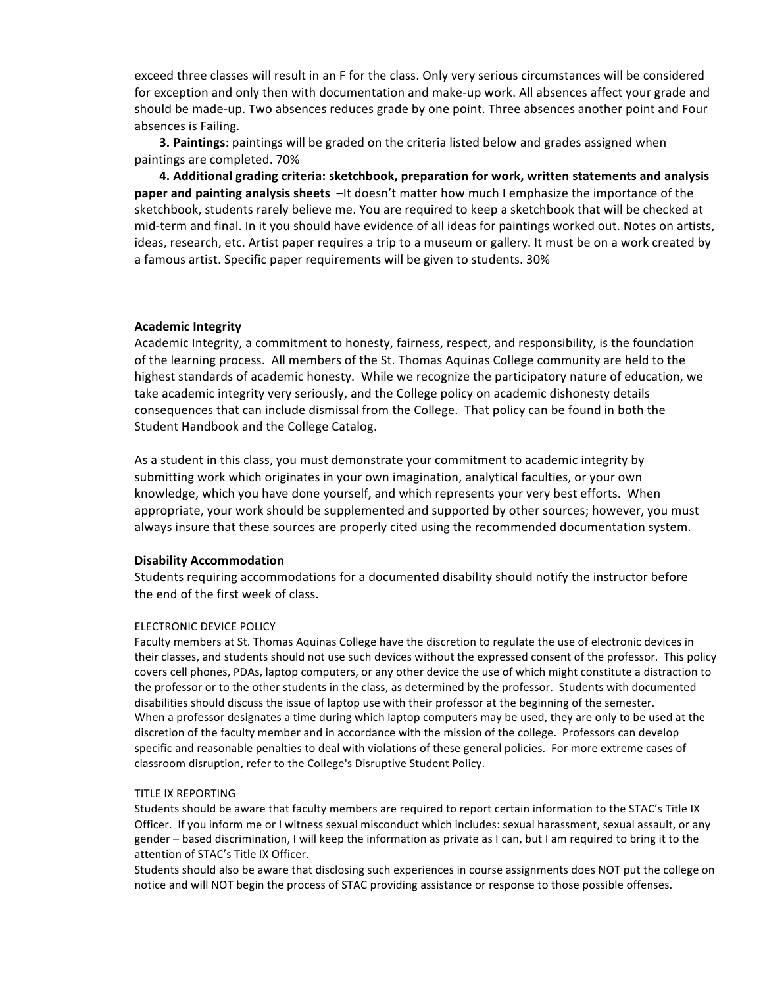exceed three classes will result in an F for the class. Only very serious circumstances will be considered for exception and only then with documentation and make-up work. All absences affect your grade and should be made-up. Two absences reduces grade by one point. Three absences another point and Four absences is Failing.

**3. Paintings**: paintings will be graded on the criteria listed below and grades assigned when paintings are completed. 70%

4. Additional grading criteria: sketchbook, preparation for work, written statements and analysis **paper and painting analysis sheets**  $-It$  doesn't matter how much I emphasize the importance of the sketchbook, students rarely believe me. You are required to keep a sketchbook that will be checked at mid-term and final. In it you should have evidence of all ideas for paintings worked out. Notes on artists, ideas, research, etc. Artist paper requires a trip to a museum or gallery. It must be on a work created by a famous artist. Specific paper requirements will be given to students. 30%

#### **Academic Integrity**

Academic Integrity, a commitment to honesty, fairness, respect, and responsibility, is the foundation of the learning process. All members of the St. Thomas Aquinas College community are held to the highest standards of academic honesty. While we recognize the participatory nature of education, we take academic integrity very seriously, and the College policy on academic dishonesty details consequences that can include dismissal from the College. That policy can be found in both the Student Handbook and the College Catalog.

As a student in this class, you must demonstrate your commitment to academic integrity by submitting work which originates in your own imagination, analytical faculties, or your own knowledge, which you have done yourself, and which represents your very best efforts. When appropriate, your work should be supplemented and supported by other sources; however, you must always insure that these sources are properly cited using the recommended documentation system.

#### **Disability Accommodation**

Students requiring accommodations for a documented disability should notify the instructor before the end of the first week of class.

#### **ELECTRONIC DEVICE POLICY**

Faculty members at St. Thomas Aquinas College have the discretion to regulate the use of electronic devices in their classes, and students should not use such devices without the expressed consent of the professor. This policy covers cell phones, PDAs, laptop computers, or any other device the use of which might constitute a distraction to the professor or to the other students in the class, as determined by the professor. Students with documented disabilities should discuss the issue of laptop use with their professor at the beginning of the semester. When a professor designates a time during which laptop computers may be used, they are only to be used at the discretion of the faculty member and in accordance with the mission of the college. Professors can develop specific and reasonable penalties to deal with violations of these general policies. For more extreme cases of classroom disruption, refer to the College's Disruptive Student Policy.

#### **TITLE IX REPORTING**

Students should be aware that faculty members are required to report certain information to the STAC's Title IX Officer. If you inform me or I witness sexual misconduct which includes: sexual harassment, sexual assault, or any gender – based discrimination, I will keep the information as private as I can, but I am required to bring it to the attention of STAC's Title IX Officer.

Students should also be aware that disclosing such experiences in course assignments does NOT put the college on notice and will NOT begin the process of STAC providing assistance or response to those possible offenses.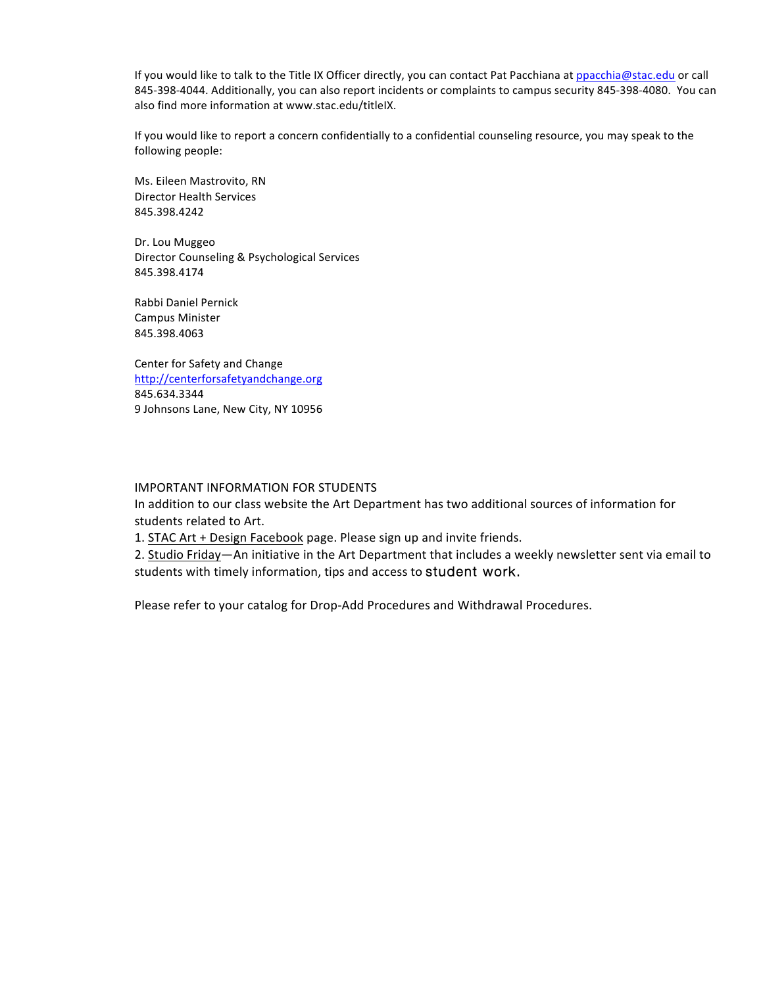If you would like to talk to the Title IX Officer directly, you can contact Pat Pacchiana at ppacchia@stac.edu or call 845-398-4044. Additionally, you can also report incidents or complaints to campus security 845-398-4080. You can also find more information at www.stac.edu/titleIX.

If you would like to report a concern confidentially to a confidential counseling resource, you may speak to the following people:

Ms. Eileen Mastrovito, RN Director Health Services 845.398.4242

Dr. Lou Muggeo Director Counseling & Psychological Services 845.398.4174 

Rabbi Daniel Pernick Campus Minister 845.398.4063

Center for Safety and Change http://centerforsafetyandchange.org 845.634.3344 9 Johnsons Lane, New City, NY 10956

#### IMPORTANT INFORMATION FOR STUDENTS

In addition to our class website the Art Department has two additional sources of information for students related to Art.

1. STAC Art + Design Facebook page. Please sign up and invite friends.

2. Studio Friday—An initiative in the Art Department that includes a weekly newsletter sent via email to students with timely information, tips and access to student work.

Please refer to your catalog for Drop-Add Procedures and Withdrawal Procedures.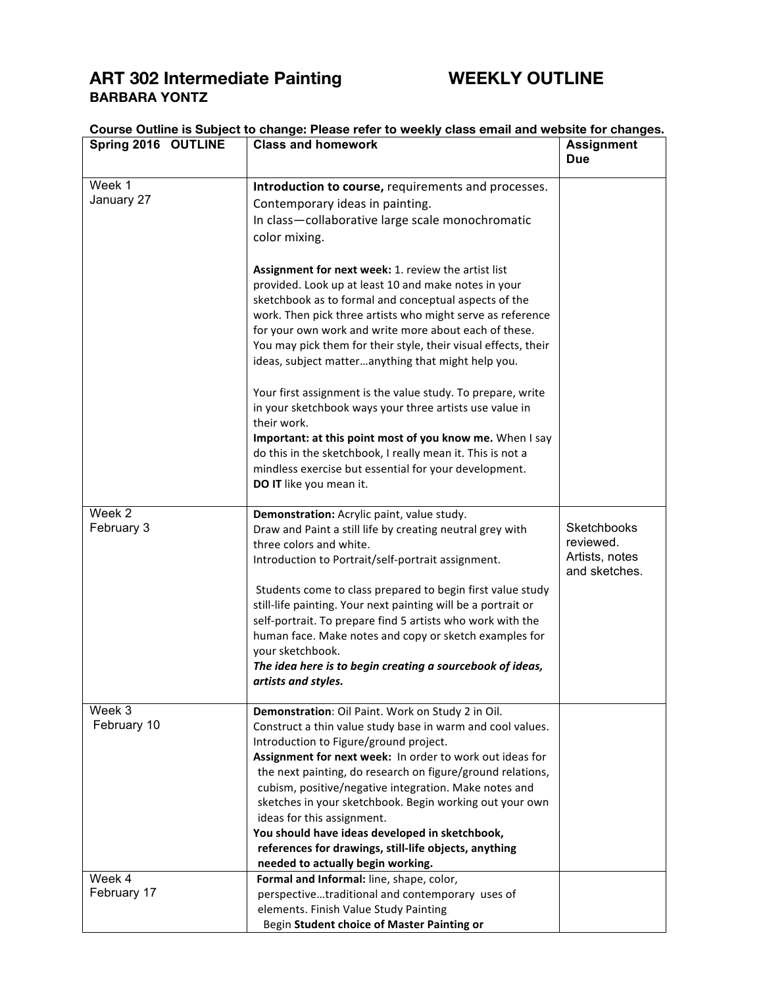# **ART 302 Intermediate Painting WEEKLY OUTLINE BARBARA YONTZ**

| Spring 2016 OUTLINE   | <b>Class and homework</b>                                                                                                                                                                                                                                                                                                                                                                                                                                                                                                                                                             | <b>Assignment</b><br><b>Due</b>                             |
|-----------------------|---------------------------------------------------------------------------------------------------------------------------------------------------------------------------------------------------------------------------------------------------------------------------------------------------------------------------------------------------------------------------------------------------------------------------------------------------------------------------------------------------------------------------------------------------------------------------------------|-------------------------------------------------------------|
| Week 1<br>January 27  | Introduction to course, requirements and processes.<br>Contemporary ideas in painting.<br>In class-collaborative large scale monochromatic<br>color mixing.                                                                                                                                                                                                                                                                                                                                                                                                                           |                                                             |
|                       | Assignment for next week: 1. review the artist list<br>provided. Look up at least 10 and make notes in your<br>sketchbook as to formal and conceptual aspects of the<br>work. Then pick three artists who might serve as reference<br>for your own work and write more about each of these.<br>You may pick them for their style, their visual effects, their<br>ideas, subject matteranything that might help you.                                                                                                                                                                   |                                                             |
|                       | Your first assignment is the value study. To prepare, write<br>in your sketchbook ways your three artists use value in<br>their work.<br>Important: at this point most of you know me. When I say<br>do this in the sketchbook, I really mean it. This is not a<br>mindless exercise but essential for your development.<br>DO IT like you mean it.                                                                                                                                                                                                                                   |                                                             |
| Week 2<br>February 3  | Demonstration: Acrylic paint, value study.<br>Draw and Paint a still life by creating neutral grey with<br>three colors and white.<br>Introduction to Portrait/self-portrait assignment.                                                                                                                                                                                                                                                                                                                                                                                              | Sketchbooks<br>reviewed.<br>Artists, notes<br>and sketches. |
|                       | Students come to class prepared to begin first value study<br>still-life painting. Your next painting will be a portrait or<br>self-portrait. To prepare find 5 artists who work with the<br>human face. Make notes and copy or sketch examples for<br>your sketchbook.<br>The idea here is to begin creating a sourcebook of ideas,<br>artists and styles.                                                                                                                                                                                                                           |                                                             |
| Week 3<br>February 10 | Demonstration: Oil Paint. Work on Study 2 in Oil.<br>Construct a thin value study base in warm and cool values.<br>Introduction to Figure/ground project.<br>Assignment for next week: In order to work out ideas for<br>the next painting, do research on figure/ground relations,<br>cubism, positive/negative integration. Make notes and<br>sketches in your sketchbook. Begin working out your own<br>ideas for this assignment.<br>You should have ideas developed in sketchbook,<br>references for drawings, still-life objects, anything<br>needed to actually begin working. |                                                             |
| Week 4<br>February 17 | Formal and Informal: line, shape, color,<br>perspectivetraditional and contemporary uses of<br>elements. Finish Value Study Painting<br>Begin Student choice of Master Painting or                                                                                                                                                                                                                                                                                                                                                                                                    |                                                             |

# **Course Outline is Subject to change: Please refer to weekly class email and website for changes.**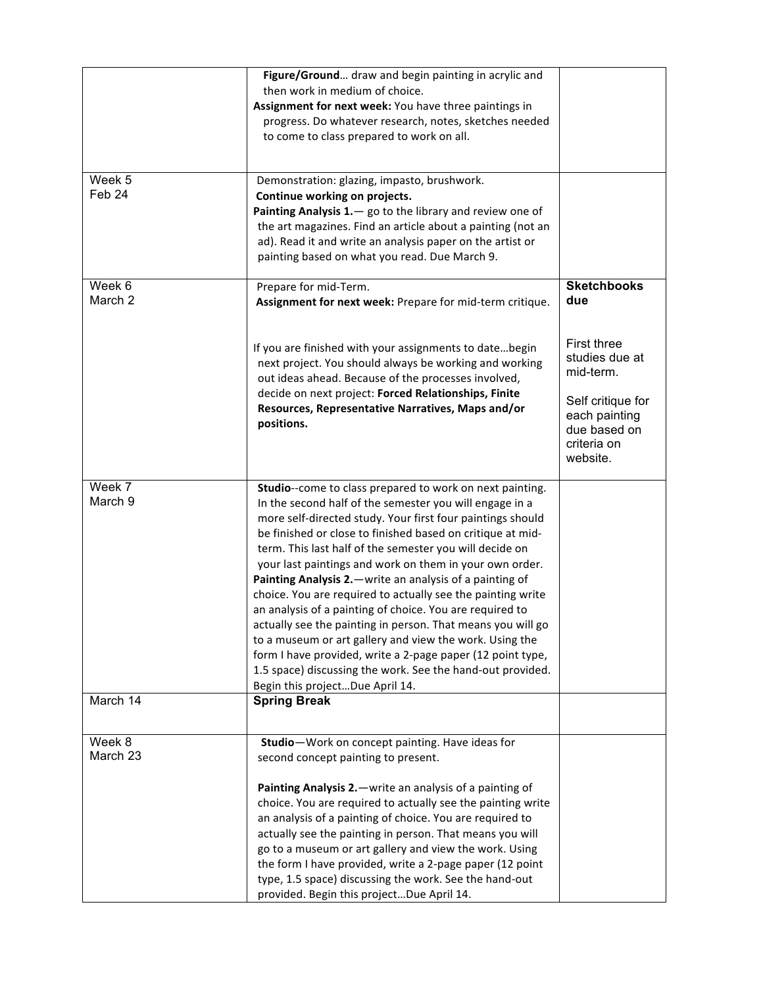|                    | Figure/Ground draw and begin painting in acrylic and<br>then work in medium of choice.<br>Assignment for next week: You have three paintings in<br>progress. Do whatever research, notes, sketches needed<br>to come to class prepared to work on all.                                                                                                                                                                                                                                                                                                                                                                                                                                                                                                                                                                                                 |                                                                                                                                    |
|--------------------|--------------------------------------------------------------------------------------------------------------------------------------------------------------------------------------------------------------------------------------------------------------------------------------------------------------------------------------------------------------------------------------------------------------------------------------------------------------------------------------------------------------------------------------------------------------------------------------------------------------------------------------------------------------------------------------------------------------------------------------------------------------------------------------------------------------------------------------------------------|------------------------------------------------------------------------------------------------------------------------------------|
| Week 5<br>Feb 24   | Demonstration: glazing, impasto, brushwork.<br>Continue working on projects.<br>Painting Analysis 1. - go to the library and review one of<br>the art magazines. Find an article about a painting (not an<br>ad). Read it and write an analysis paper on the artist or<br>painting based on what you read. Due March 9.                                                                                                                                                                                                                                                                                                                                                                                                                                                                                                                                |                                                                                                                                    |
| Week 6<br>March 2  | Prepare for mid-Term.<br>Assignment for next week: Prepare for mid-term critique.                                                                                                                                                                                                                                                                                                                                                                                                                                                                                                                                                                                                                                                                                                                                                                      | <b>Sketchbooks</b><br>due                                                                                                          |
|                    | If you are finished with your assignments to datebegin<br>next project. You should always be working and working<br>out ideas ahead. Because of the processes involved,<br>decide on next project: Forced Relationships, Finite<br>Resources, Representative Narratives, Maps and/or<br>positions.                                                                                                                                                                                                                                                                                                                                                                                                                                                                                                                                                     | <b>First three</b><br>studies due at<br>mid-term.<br>Self critique for<br>each painting<br>due based on<br>criteria on<br>website. |
| Week 7<br>March 9  | Studio--come to class prepared to work on next painting.<br>In the second half of the semester you will engage in a<br>more self-directed study. Your first four paintings should<br>be finished or close to finished based on critique at mid-<br>term. This last half of the semester you will decide on<br>your last paintings and work on them in your own order.<br>Painting Analysis 2. - write an analysis of a painting of<br>choice. You are required to actually see the painting write<br>an analysis of a painting of choice. You are required to<br>actually see the painting in person. That means you will go<br>to a museum or art gallery and view the work. Using the<br>form I have provided, write a 2-page paper (12 point type,<br>1.5 space) discussing the work. See the hand-out provided.<br>Begin this projectDue April 14. |                                                                                                                                    |
| March 14           | <b>Spring Break</b>                                                                                                                                                                                                                                                                                                                                                                                                                                                                                                                                                                                                                                                                                                                                                                                                                                    |                                                                                                                                    |
|                    |                                                                                                                                                                                                                                                                                                                                                                                                                                                                                                                                                                                                                                                                                                                                                                                                                                                        |                                                                                                                                    |
| Week 8<br>March 23 | Studio-Work on concept painting. Have ideas for<br>second concept painting to present.<br>Painting Analysis 2. - write an analysis of a painting of<br>choice. You are required to actually see the painting write<br>an analysis of a painting of choice. You are required to<br>actually see the painting in person. That means you will<br>go to a museum or art gallery and view the work. Using<br>the form I have provided, write a 2-page paper (12 point                                                                                                                                                                                                                                                                                                                                                                                       |                                                                                                                                    |
|                    | type, 1.5 space) discussing the work. See the hand-out<br>provided. Begin this projectDue April 14.                                                                                                                                                                                                                                                                                                                                                                                                                                                                                                                                                                                                                                                                                                                                                    |                                                                                                                                    |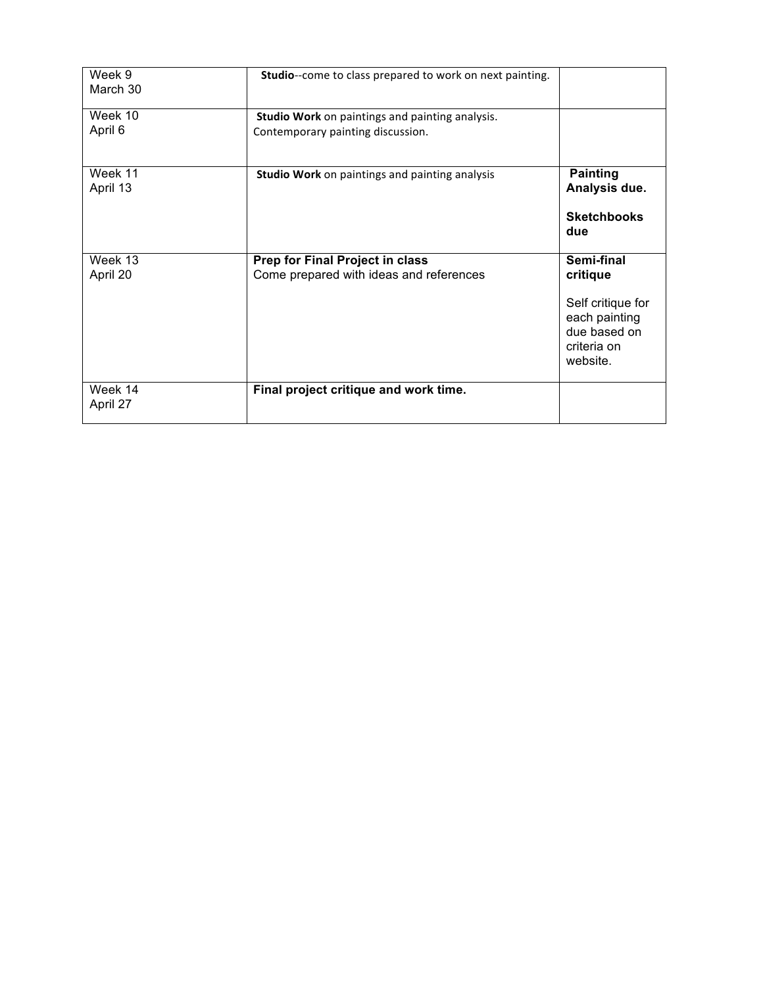| Week 9<br>March 30  | Studio--come to class prepared to work on next painting.                                    |                                                                                                         |
|---------------------|---------------------------------------------------------------------------------------------|---------------------------------------------------------------------------------------------------------|
| Week 10<br>April 6  | <b>Studio Work</b> on paintings and painting analysis.<br>Contemporary painting discussion. |                                                                                                         |
| Week 11<br>April 13 | Studio Work on paintings and painting analysis                                              | <b>Painting</b><br>Analysis due.<br><b>Sketchbooks</b><br>due                                           |
| Week 13<br>April 20 | <b>Prep for Final Project in class</b><br>Come prepared with ideas and references           | Semi-final<br>critique<br>Self critique for<br>each painting<br>due based on<br>criteria on<br>website. |
| Week 14<br>April 27 | Final project critique and work time.                                                       |                                                                                                         |